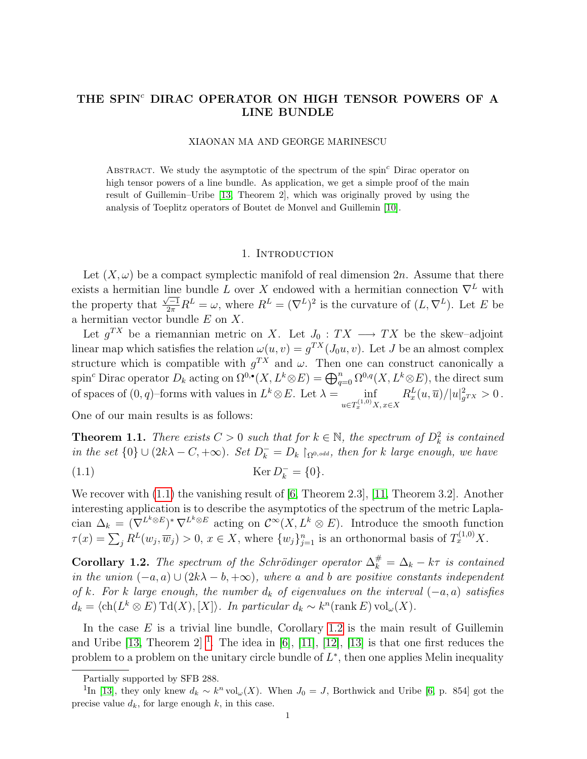## THE SPIN<sup>c</sup> DIRAC OPERATOR ON HIGH TENSOR POWERS OF A LINE BUNDLE

## XIAONAN MA AND GEORGE MARINESCU

ABSTRACT. We study the asymptotic of the spectrum of the spin<sup>c</sup> Dirac operator on high tensor powers of a line bundle. As application, we get a simple proof of the main result of Guillemin–Uribe [\[13,](#page-10-0) Theorem 2], which was originally proved by using the analysis of Toeplitz operators of Boutet de Monvel and Guillemin [\[10\]](#page-9-0).

### 1. INTRODUCTION

Let  $(X, \omega)$  be a compact symplectic manifold of real dimension 2n. Assume that there exists a hermitian line bundle L over X endowed with a hermitian connection  $\nabla^L$  with the property that  $\frac{\sqrt{-1}}{2\pi}R^L = \omega$ , where  $R^L = (\nabla^L)^2$  is the curvature of  $(L, \nabla^L)$ . Let E be a hermitian vector bundle  $E$  on  $X$ .

Let  $g^{TX}$  be a riemannian metric on X. Let  $J_0: TX \longrightarrow TX$  be the skew-adjoint linear map which satisfies the relation  $\omega(u, v) = g^{TX}(J_0u, v)$ . Let J be an almost complex structure which is compatible with  $g^{TX}$  and  $\omega$ . Then one can construct canonically a spin<sup>c</sup> Dirac operator  $D_k$  acting on  $\Omega^{0,\bullet}(X,L^k\otimes E) = \bigoplus_{q=0}^n \Omega^{0,q}(X,L^k\otimes E)$ , the direct sum of spaces of  $(0, q)$ –forms with values in  $L^k \otimes E$ . Let  $\lambda =$  inf  $u \in T_x^{(1,0)}X, x \in X$  $R_x^L(u,\overline{u})/|u|_g^2$  $g_{TX}^2 > 0$ .

<span id="page-0-3"></span>One of our main results is as follows:

**Theorem 1.1.** There exists  $C > 0$  such that for  $k \in \mathbb{N}$ , the spectrum of  $D_k^2$  is contained in the set  $\{0\} \cup (2k\lambda - C, +\infty)$ . Set  $D_k^- = D_k$   $\restriction_{\Omega^{0,odd}}$ , then for k large enough, we have

<span id="page-0-0"></span>(1.1) 
$$
\operatorname{Ker} D_k^- = \{0\}.
$$

We recover with  $(1.1)$  the vanishing result of [\[6,](#page-9-1) Theorem 2.3], [\[11,](#page-9-2) Theorem 3.2]. Another interesting application is to describe the asymptotics of the spectrum of the metric Laplacian  $\Delta_k = (\nabla^{L^k \otimes E})^* \nabla^{L^k \otimes E}$  acting on  $\mathcal{C}^{\infty}(X, L^k \otimes E)$ . Introduce the smooth function  $\tau(x) = \sum_j R^L(w_j, \overline{w}_j) > 0, x \in X$ , where  $\{w_j\}_{j=1}^n$  is an orthonormal basis of  $T_x^{(1,0)}X$ .

<span id="page-0-1"></span>**Corollary 1.2.** The spectrum of the Schrödinger operator  $\Delta_k^{\#} = \Delta_k - k\tau$  is contained in the union  $(-a, a) \cup (2k\lambda - b, +\infty)$ , where a and b are positive constants independent of k. For k large enough, the number  $d_k$  of eigenvalues on the interval  $(-a, a)$  satisfies  $d_k = \langle ch(L^k \otimes E) \operatorname{Td}(X), [X] \rangle$ . In particular  $d_k \sim k^n(\operatorname{rank} E) \operatorname{vol}_{\omega}(X)$ .

In the case  $E$  is a trivial line bundle, Corollary [1.2](#page-0-1) is the main result of Guillemin and Uribe  $[13,$  $[13,$  $[13,$  Theorem  $2]$ <sup>1</sup>. The idea in  $[6]$ ,  $[11]$ ,  $[12]$ ,  $[13]$  is that one first reduces the problem to a problem on the unitary circle bundle of  $L^*$ , then one applies Melin inequality

<span id="page-0-2"></span>Partially supported by SFB 288.

<sup>&</sup>lt;sup>1</sup>In [\[13\]](#page-10-0), they only knew  $d_k \sim k^n \text{vol}_{\omega}(X)$ . When  $J_0 = J$ , Borthwick and Uribe [\[6,](#page-9-1) p. 854] got the precise value  $d_k$ , for large enough  $k$ , in this case.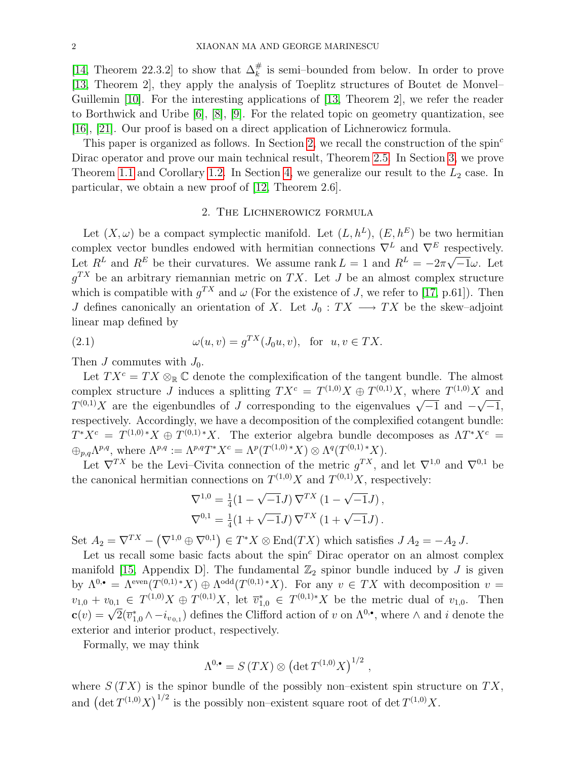[\[14,](#page-10-1) Theorem 22.3.2] to show that  $\Delta_k^{\#}$  is semi-bounded from below. In order to prove [\[13,](#page-10-0) Theorem 2], they apply the analysis of Toeplitz structures of Boutet de Monvel– Guillemin [\[10\]](#page-9-0). For the interesting applications of [\[13,](#page-10-0) Theorem 2], we refer the reader to Borthwick and Uribe [\[6\]](#page-9-1), [\[8\]](#page-9-4), [\[9\]](#page-9-5). For the related topic on geometry quantization, see [\[16\]](#page-10-2), [\[21\]](#page-10-3). Our proof is based on a direct application of Lichnerowicz formula.

This paper is organized as follows. In Section [2,](#page-1-0) we recall the construction of the spin<sup>c</sup> Dirac operator and prove our main technical result, Theorem [2.5.](#page-4-0) In Section [3,](#page-4-1) we prove Theorem [1.1](#page-0-3) and Corollary [1.2.](#page-0-1) In Section [4,](#page-6-0) we generalize our result to the  $L_2$  case. In particular, we obtain a new proof of [\[12,](#page-9-3) Theorem 2.6].

## 2. The Lichnerowicz formula

<span id="page-1-0"></span>Let  $(X, \omega)$  be a compact symplectic manifold. Let  $(L, h^L)$ ,  $(E, h^E)$  be two hermitian complex vector bundles endowed with hermitian connections  $\nabla^L$  and  $\nabla^E$  respectively. Let  $R^L$  and  $R^E$  be their curvatures. We assume rank  $L = 1$  and  $R^L = -2\pi$ √  $\overline{-1}\omega$ . Let  $g^{TX}$  be an arbitrary riemannian metric on TX. Let J be an almost complex structure which is compatible with  $g^{TX}$  and  $\omega$  (For the existence of J, we refer to [\[17,](#page-10-4) p.61]). Then J defines canonically an orientation of X. Let  $J_0 : TX \longrightarrow TX$  be the skew-adjoint linear map defined by

<span id="page-1-1"></span>(2.1) 
$$
\omega(u,v) = g^{TX}(J_0u,v), \text{ for } u,v \in TX.
$$

Then  $J$  commutes with  $J_0$ .

Let  $TX^c = TX \otimes_{\mathbb{R}} \mathbb{C}$  denote the complexification of the tangent bundle. The almost complex structure J induces a splitting  $TX^c = T^{(1,0)}X \oplus T^{(0,1)}X$ , where  $T^{(1,0)}X$  and complex structure *J* matrices a spinting  $T A = T^{3/7} A \oplus T^{3/7} A$ , where  $T^{3/7} A$  and  $T^{(0,1)}X$  are the eigenbundles of *J* corresponding to the eigenvalues  $\sqrt{-1}$  and  $-\sqrt{-1}$ , respectively. Accordingly, we have a decomposition of the complexified cotangent bundle:  $T^*X^c = T^{(1,0)*}X \oplus T^{(0,1)*}X$ . The exterior algebra bundle decomposes as  $\Lambda T^*X^c =$  $\bigoplus_{p,q}\Lambda^{p,q}$ , where  $\Lambda^{p,q} := \Lambda^{p,q}T^*X^c = \Lambda^p(T^{(1,0)*}X) \otimes \Lambda^q(T^{(0,1)*}X).$ 

Let  $\nabla^{TX}$  be the Levi–Civita connection of the metric  $g^{TX}$ , and let  $\nabla^{1,0}$  and  $\nabla^{0,1}$  be the canonical hermitian connections on  $T^{(1,0)}X$  and  $T^{(0,1)}X$ , respectively:

$$
\nabla^{1,0} = \frac{1}{4}(1 - \sqrt{-1}J) \nabla^{TX} (1 - \sqrt{-1}J),
$$
  

$$
\nabla^{0,1} = \frac{1}{4}(1 + \sqrt{-1}J) \nabla^{TX} (1 + \sqrt{-1}J).
$$

Set  $A_2 = \nabla^{TX} - (\nabla^{1,0} \oplus \nabla^{0,1}) \in T^*X \otimes \text{End}(TX)$  which satisfies  $J A_2 = -A_2 J$ .

Let us recall some basic facts about the  $spin<sup>c</sup>$  Dirac operator on an almost complex manifold [\[15,](#page-10-5) Appendix D]. The fundamental  $\mathbb{Z}_2$  spinor bundle induced by J is given by  $\Lambda^{0,\bullet} = \Lambda^{\text{even}}(T^{(0,1)*}X) \oplus \Lambda^{\text{odd}}(T^{(0,1)*}X)$ . For any  $v \in TX$  with decomposition  $v =$  $v_{1,0} + v_{0,1} \in T^{(1,0)}X \oplus T^{(0,1)}X$ , let  $\overline{v}_{1,0}^* \in T^{(0,1)*}X$  be the metric dual of  $v_{1,0}$ . Then  $c(v) = \sqrt{2}(\overline{v}_{1,0}^* \wedge -i_{v_{0,1}})$  defines the Clifford action of v on  $\Lambda^{0,\bullet}$ , where  $\wedge$  and i denote the exterior and interior product, respectively.

Formally, we may think

$$
\Lambda^{0,\bullet} = S(TX) \otimes (\det T^{(1,0)}X)^{1/2} ,
$$

where  $S(TX)$  is the spinor bundle of the possibly non–existent spin structure on  $TX$ , and  $\left(\det T^{(1,0)}X\right)^{1/2}$  is the possibly non-existent square root of  $\det T^{(1,0)}X$ .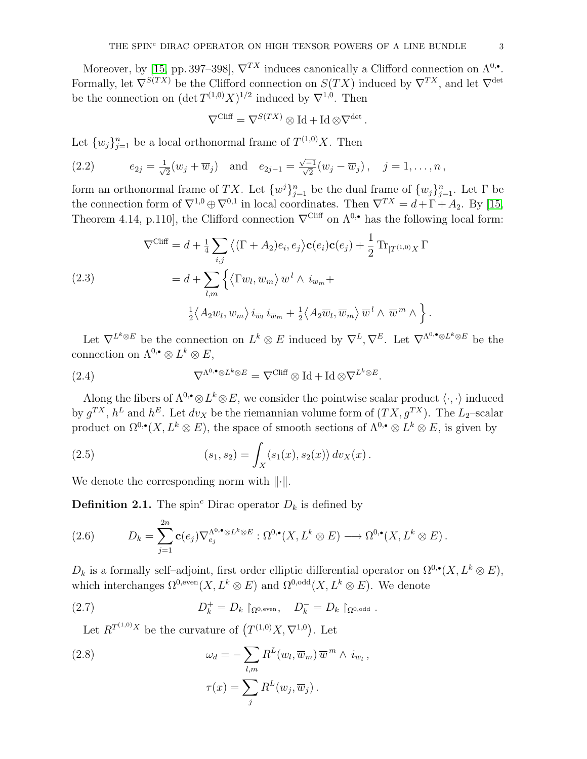Moreover, by [\[15,](#page-10-5) pp. 397–398],  $\nabla^{TX}$  induces canonically a Clifford connection on  $\Lambda^{0,\bullet}$ . Formally, let  $\nabla^{S(T X)}$  be the Clifford connection on  $S(T X)$  induced by  $\nabla^{T X}$ , and let  $\nabla^{\text{det}}$ be the connection on  $(\det T^{(1,0)}X)^{1/2}$  induced by  $\nabla^{1,0}$ . Then

$$
\nabla^{\text{Cliff}} = \nabla^{S(TX)} \otimes \text{Id} + \text{Id} \otimes \nabla^{\text{det}}
$$

.

Let  $\{w_j\}_{j=1}^n$  be a local orthonormal frame of  $T^{(1,0)}X$ . Then

(2.2) 
$$
e_{2j} = \frac{1}{\sqrt{2}}(w_j + \overline{w}_j)
$$
 and  $e_{2j-1} = \frac{\sqrt{-1}}{\sqrt{2}}(w_j - \overline{w}_j), \quad j = 1, ..., n$ ,

form an orthonormal frame of TX. Let  $\{w^j\}_{j=1}^n$  be the dual frame of  $\{w_j\}_{j=1}^n$ . Let  $\Gamma$  be the connection form of  $\nabla^{1,0} \oplus \nabla^{0,1}$  in local coordinates. Then  $\nabla^{TX} = d + \Gamma + A_2$ . By [\[15,](#page-10-5) Theorem 4.14, p.110], the Clifford connection  $\nabla^{\text{Cliff}}$  on  $\Lambda^{0,\bullet}$  has the following local form:

<span id="page-2-0"></span>(2.3)  
\n
$$
\nabla^{\text{Cliff}} = d + \frac{1}{4} \sum_{i,j} \left\langle (\Gamma + A_2) e_i, e_j \right\rangle \mathbf{c}(e_i) \mathbf{c}(e_j) + \frac{1}{2} \text{Tr}_{|T^{(1,0)}X} \Gamma
$$
\n
$$
= d + \sum_{l,m} \left\{ \left\langle \Gamma w_l, \overline{w}_m \right\rangle \overline{w}^l \wedge i_{\overline{w}_m} + \frac{1}{2} \left\langle A_2 \overline{w}_l, \overline{w}_m \right\rangle \overline{w}^l \wedge \overline{w}^m \wedge \right\}.
$$

Let  $\nabla^{L^k \otimes E}$  be the connection on  $L^k \otimes E$  induced by  $\nabla^L, \nabla^E$ . Let  $\nabla^{\Lambda^0, \bullet} \otimes L^k \otimes E$  be the connection on  $\Lambda^{0,\bullet} \otimes L^k \otimes E$ ,

(2.4) 
$$
\nabla^{\Lambda^{0,\bullet}\otimes L^k\otimes E} = \nabla^{\text{Cliff}} \otimes \text{Id} + \text{Id} \otimes \nabla^{L^k\otimes E}.
$$

Along the fibers of  $\Lambda^{0,\bullet}\otimes L^k\otimes E$ , we consider the pointwise scalar product  $\langle \cdot,\cdot \rangle$  induced by  $g^{TX}$ ,  $h^L$  and  $h^E$ . Let  $dv_X$  be the riemannian volume form of  $(TX, g^{TX})$ . The  $L_2$ -scalar product on  $\Omega^{0,\bullet}(X,L^k\otimes E)$ , the space of smooth sections of  $\Lambda^{0,\bullet}\otimes L^k\otimes E$ , is given by

<span id="page-2-1"></span>(2.5) 
$$
(s_1, s_2) = \int_X \langle s_1(x), s_2(x) \rangle dv_X(x).
$$

We denote the corresponding norm with  $\lVert \cdot \rVert$ .

**Definition 2.1.** The spin<sup>c</sup> Dirac operator  $D_k$  is defined by

(2.6) 
$$
D_k = \sum_{j=1}^{2n} \mathbf{c}(e_j) \nabla_{e_j}^{\Lambda^{0,\bullet} \otimes L^k \otimes E} : \Omega^{0,\bullet}(X, L^k \otimes E) \longrightarrow \Omega^{0,\bullet}(X, L^k \otimes E).
$$

 $D_k$  is a formally self–adjoint, first order elliptic differential operator on  $\Omega^{0,\bullet}(X,L^k\otimes E)$ , which interchanges  $\Omega^{0,\text{even}}(X, L^k \otimes E)$  and  $\Omega^{0,\text{odd}}(X, L^k \otimes E)$ . We denote

(2.7) 
$$
D_k^+ = D_k \restriction_{\Omega^{0,\text{even}}}, \quad D_k^- = D_k \restriction_{\Omega^{0,\text{odd}}}.
$$

Let  $R^{T^{(1,0)}X}$  be the curvature of  $(T^{(1,0)}X,\nabla^{1,0})$ . Let

(2.8) 
$$
\omega_d = -\sum_{l,m} R^L(w_l, \overline{w}_m) \overline{w}^m \wedge i_{\overline{w}_l},
$$

$$
\tau(x) = \sum_j R^L(w_j, \overline{w}_j).
$$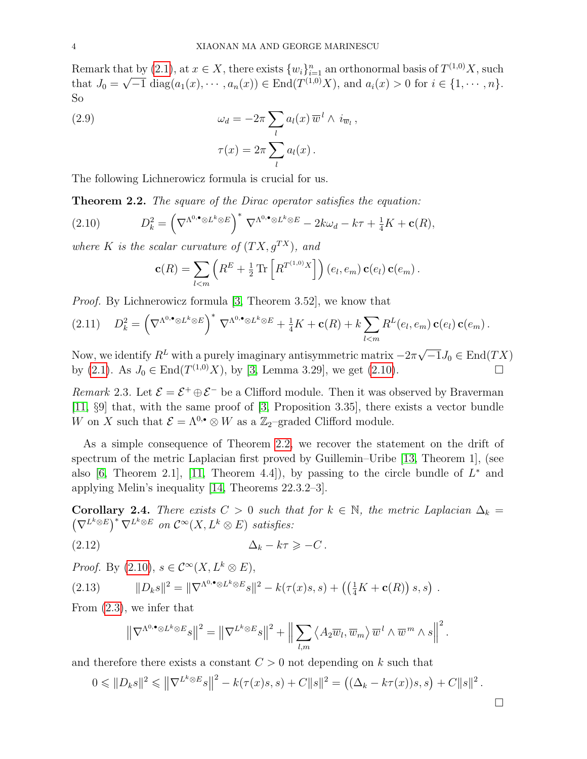Remark that by [\(2.1\)](#page-1-1), at  $x \in X$ , there exists  $\{w_i\}_{i=1}^n$  an orthonormal basis of  $T^{(1,0)}X$ , such that  $J_0 = \sqrt{-1} \text{ diag}(a_1(x), \dots, a_n(x)) \in \text{End}(T^{(1,0)}X)$ , and  $a_i(x) > 0$  for  $i \in \{1, \dots, n\}$ . So

(2.9) 
$$
\omega_d = -2\pi \sum_l a_l(x) \,\overline{w}^l \wedge i_{\overline{w}_l} ,
$$

$$
\tau(x) = 2\pi \sum_l a_l(x) .
$$

<span id="page-3-1"></span>The following Lichnerowicz formula is crucial for us.

Theorem 2.2. The square of the Dirac operator satisfies the equation:

(2.10) 
$$
D_k^2 = \left(\nabla^{\Lambda^{0,\bullet}\otimes L^k\otimes E}\right)^* \nabla^{\Lambda^{0,\bullet}\otimes L^k\otimes E} - 2k\omega_d - k\tau + \frac{1}{4}K + \mathbf{c}(R),
$$

where K is the scalar curvature of  $(T X, g^{T X})$ , and

<span id="page-3-0"></span>
$$
\mathbf{c}(R) = \sum_{l < m} \left( R^E + \frac{1}{2} \operatorname{Tr} \left[ R^{T^{(1,0)}X} \right] \right) (e_l, e_m) \, \mathbf{c}(e_l) \, \mathbf{c}(e_m) \, .
$$

Proof. By Lichnerowicz formula [\[3,](#page-9-6) Theorem 3.52], we know that

$$
(2.11) \tD_k^2 = \left(\nabla^{\Lambda^{0,\bullet}\otimes L^k\otimes E}\right)^* \nabla^{\Lambda^{0,\bullet}\otimes L^k\otimes E} + \frac{1}{4}K + \mathbf{c}(R) + k \sum_{l
$$

Now, we identify  $R^L$  with a purely imaginary antisymmetric matrix  $-2\pi$  $\overline{-1}J_0 \in \text{End}(TX)$ by [\(2.1\)](#page-1-1). As  $J_0 \in \text{End}(T^{(1,0)}X)$ , by [\[3,](#page-9-6) Lemma 3.29], we get [\(2.10\)](#page-3-0).

<span id="page-3-5"></span>Remark 2.3. Let  $\mathcal{E} = \mathcal{E}^+ \oplus \mathcal{E}^-$  be a Clifford module. Then it was observed by Braverman [\[11,](#page-9-2) §9] that, with the same proof of [\[3,](#page-9-6) Proposition 3.35], there exists a vector bundle W on X such that  $\mathcal{E} = \Lambda^{0,\bullet} \otimes W$  as a  $\mathbb{Z}_2$ -graded Clifford module.

As a simple consequence of Theorem [2.2,](#page-3-1) we recover the statement on the drift of spectrum of the metric Laplacian first proved by Guillemin–Uribe [\[13,](#page-10-0) Theorem 1], (see also [\[6,](#page-9-1) Theorem 2.1], [\[11,](#page-9-2) Theorem 4.4]), by passing to the circle bundle of  $L^*$  and applying Melin's inequality [\[14,](#page-10-1) Theorems 22.3.2–3].

<span id="page-3-4"></span>**Corollary 2.4.** There exists  $C > 0$  such that for  $k \in \mathbb{N}$ , the metric Laplacian  $\Delta_k =$  $(\nabla^{L^k \otimes E})^* \nabla^{L^k \otimes E}$  on  $\mathcal{C}^{\infty}(X, L^k \otimes E)$  satisfies:

(2.12) ∆<sup>k</sup> − kτ > −C .

*Proof.* By  $(2.10), s \in C^{\infty}(X, L^k \otimes E),$ 

(2.13) 
$$
||D_k s||^2 = ||\nabla^{\Lambda^{0,\bullet} \otimes L^k \otimes E} s||^2 - k(\tau(x)s, s) + ((\frac{1}{4}K + \mathbf{c}(R)) s, s).
$$

From [\(2.3\)](#page-2-0), we infer that

<span id="page-3-3"></span><span id="page-3-2"></span>
$$
\left\|\nabla^{\Lambda^{0,\bullet}\otimes L^k\otimes E} s\right\|^2=\left\|\nabla^{L^k\otimes E} s\right\|^2+\left\|\sum_{l,m}\left\langle A_2\overline{w}_l,\overline{w}_m\right\rangle \overline{w}^l\wedge \overline{w}^m\wedge s\right\|^2.
$$

and therefore there exists a constant  $C > 0$  not depending on k such that

$$
0 \leq \|D_k s\|^2 \leq \left\|\nabla^{L^k \otimes E} s\right\|^2 - k(\tau(x)s, s) + C\|s\|^2 = \left((\Delta_k - k\tau(x))s, s\right) + C\|s\|^2.
$$

 $\Box$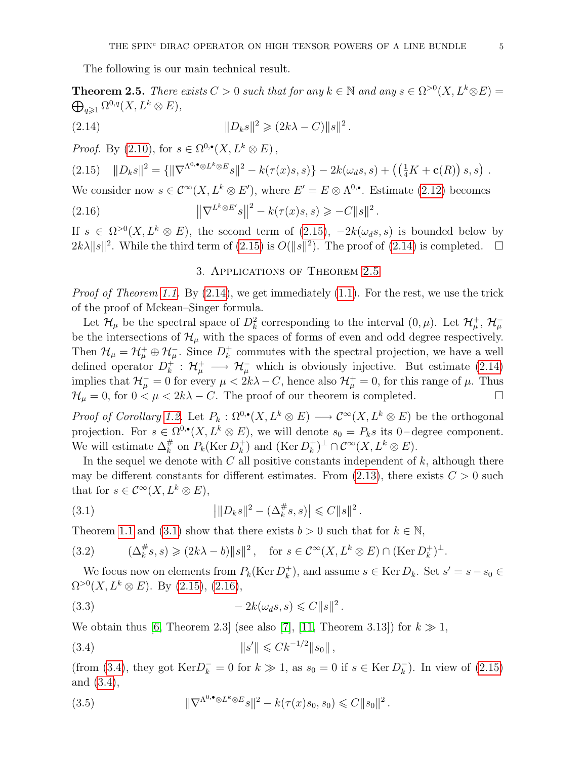<span id="page-4-3"></span>The following is our main technical result.

<span id="page-4-0"></span>**Theorem 2.5.** There exists  $C > 0$  such that for any  $k \in \mathbb{N}$  and any  $s \in \Omega^{>0}(X, L^k \otimes E) =$  $\bigoplus_{q\geqslant 1}\Omega^{0,q}(X,L^k\otimes E),$ 

(2.14) 
$$
||D_k s||^2 \geq (2k\lambda - C) ||s||^2.
$$

*Proof.* By  $(2.10)$ , for  $s \in \Omega^{0,\bullet}(X, L^k \otimes E)$ ,

<span id="page-4-2"></span>
$$
(2.15) \quad ||D_k s||^2 = \{ ||\nabla^{\Lambda^0, \bullet} \otimes L^k \otimes E_s||^2 - k(\tau(x)s, s) \} - 2k(\omega_d s, s) + \left( \left( \frac{1}{4} K + \mathbf{c}(R) \right) s, s \right) .
$$

We consider now  $s \in C^{\infty}(X, L^k \otimes E')$ , where  $E' = E \otimes \Lambda^{0,\bullet}$ . Estimate [\(2.12\)](#page-3-2) becomes

(2.16) 
$$
\left\|\nabla^{L^k \otimes E'}s\right\|^2 - k(\tau(x)s, s) \geq -C\|s\|^2.
$$

If  $s \in \Omega^{>0}(X, L^k \otimes E)$ , the second term of  $(2.15)$ ,  $-2k(\omega_d s, s)$  is bounded below by  $2k\lambda \|s\|^2$ . While the third term of [\(2.15\)](#page-4-2) is  $O(\|s\|^2)$ . The proof of [\(2.14\)](#page-4-3) is completed.  $\square$ 

## <span id="page-4-5"></span>3. Applications of Theorem [2.5](#page-4-0)

<span id="page-4-1"></span>*Proof of Theorem [1.1.](#page-0-3)* By  $(2.14)$ , we get immediately  $(1.1)$ . For the rest, we use the trick of the proof of Mckean–Singer formula.

Let  $\mathcal{H}_\mu$  be the spectral space of  $D_k^2$  corresponding to the interval  $(0,\mu)$ . Let  $\mathcal{H}_\mu^+$ ,  $\mathcal{H}_\mu^$ be the intersections of  $\mathcal{H}_{\mu}$  with the spaces of forms of even and odd degree respectively. Then  $\mathcal{H}_{\mu} = \mathcal{H}_{\mu}^+ \oplus \mathcal{H}_{\mu}^-$ . Since  $D_k^+$  $\frac{1}{k}$  commutes with the spectral projection, we have a well defined operator  $D_k^+$  $\mathcal{H}_{k}^{+}$ :  $\mathcal{H}_{\mu}^{+} \longrightarrow \mathcal{H}_{\mu}^{-}$  which is obviously injective. But estimate [\(2.14\)](#page-4-3) implies that  $\mathcal{H}^-_\mu = 0$  for every  $\mu < 2k\lambda - C$ , hence also  $\mathcal{H}^+_\mu = 0$ , for this range of  $\mu$ . Thus  $\mathcal{H}_{\mu} = 0$ , for  $0 < \mu < 2k\lambda - C$ . The proof of our theorem is completed.

*Proof of Corollary [1.2.](#page-0-1)* Let  $P_k: \Omega^{0,\bullet}(X, L^k \otimes E) \longrightarrow \mathcal{C}^{\infty}(X, L^k \otimes E)$  be the orthogonal projection. For  $s \in \Omega^{0,\bullet}(X,L^k \otimes E)$ , we will denote  $s_0 = P_k s$  its 0-degree component. We will estimate  $\Delta_k^{\#}$  on  $P_k(\text{Ker } D_k^+)$  $_k^+$ ) and (Ker  $D_k^+$  $_{k}^{+})^{\perp} \cap \mathcal{C}^{\infty}(X, L^{k} \otimes E).$ 

In the sequel we denote with  $C$  all positive constants independent of  $k$ , although there may be different constants for different estimates. From  $(2.13)$ , there exists  $C > 0$  such that for  $s \in \mathcal{C}^{\infty}(X, L^k \otimes E),$ 

<span id="page-4-4"></span>(3.1) 
$$
\left| \|D_k s\|^2 - (\Delta_k^{\#} s, s) \right| \leq C \|s\|^2.
$$

Theorem [1.1](#page-0-3) and [\(3.1\)](#page-4-4) show that there exists  $b > 0$  such that for  $k \in \mathbb{N}$ ,

<span id="page-4-8"></span>(3.2) 
$$
(\Delta_k^{\#} s, s) \geq (2k\lambda - b) \|s\|^2, \text{ for } s \in \mathcal{C}^{\infty}(X, L^k \otimes E) \cap (\text{Ker } D_k^+)^{\perp}.
$$

We focus now on elements from  $P_k(\text{Ker }D_k^+$  $(k)$ , and assume  $s \in \text{Ker } D_k$ . Set  $s' = s - s_0 \in$  $\Omega^{>0}(X, L^k \otimes E)$ . By [\(2.15\)](#page-4-2), [\(2.16\)](#page-4-5),

$$
(3.3) \t\t - 2k(\omega_d s, s) \leq C ||s||^2.
$$

We obtain thus [\[6,](#page-9-1) Theorem 2.3] (see also [\[7\]](#page-9-7), [\[11,](#page-9-2) Theorem 3.13]) for  $k \gg 1$ ,

<span id="page-4-6"></span>(3.4) 
$$
||s'|| \leq C k^{-1/2} ||s_0||,
$$

(from [\(3.4\)](#page-4-6), they got  $\text{Ker} D_k^- = 0$  for  $k \gg 1$ , as  $s_0 = 0$  if  $s \in \text{Ker} D_k^ \binom{ }{k}$ . In view of  $(2.15)$ and [\(3.4\)](#page-4-6),

<span id="page-4-7"></span>(3.5) 
$$
\|\nabla^{\Lambda^{0,\bullet}\otimes L^k\otimes E} s\|^2 - k(\tau(x)s_0, s_0) \leq C \|s_0\|^2.
$$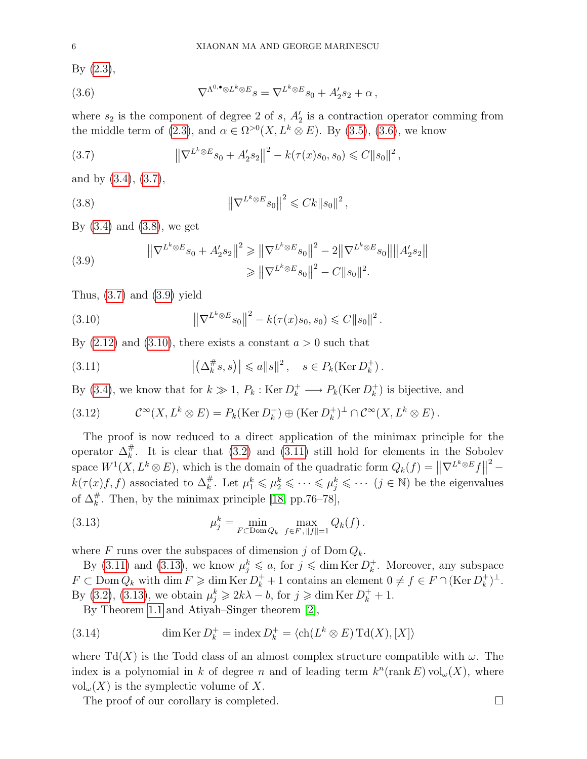By [\(2.3\)](#page-2-0),

<span id="page-5-0"></span>(3.6) 
$$
\nabla^{\Lambda^{0,\bullet}\otimes L^k\otimes E} s = \nabla^{L^k\otimes E} s_0 + A'_2 s_2 + \alpha ,
$$

where  $s_2$  is the component of degree 2 of s,  $A'_2$  is a contraction operator comming from the middle term of [\(2.3\)](#page-2-0), and  $\alpha \in \Omega^{>0}(X, L^k \otimes E)$ . By [\(3.5\)](#page-4-7), [\(3.6\)](#page-5-0), we know

<span id="page-5-1"></span>(3.7) 
$$
\left\|\nabla^{L^k \otimes E} s_0 + A'_2 s_2\right\|^2 - k(\tau(x)s_0, s_0) \leq C \|s_0\|^2,
$$

and by [\(3.4\)](#page-4-6), [\(3.7\)](#page-5-1),

<span id="page-5-2"></span>(3.8) 
$$
\left\| \nabla^{L^k \otimes E} s_0 \right\|^2 \leqslant C k \|s_0\|^2,
$$

By  $(3.4)$  and  $(3.8)$ , we get

<span id="page-5-3"></span>(3.9) 
$$
\|\nabla^{L^k \otimes E} s_0 + A'_2 s_2\|^2 \geq \|\nabla^{L^k \otimes E} s_0\|^2 - 2\|\nabla^{L^k \otimes E} s_0\| \|A'_2 s_2\|
$$

$$
\geq \|\nabla^{L^k \otimes E} s_0\|^2 - C\|s_0\|^2.
$$

Thus,  $(3.7)$  and  $(3.9)$  yield

<span id="page-5-4"></span>(3.10) 
$$
\left\|\nabla^{L^k \otimes E} s_0\right\|^2 - k(\tau(x)s_0, s_0) \leq C \|s_0\|^2.
$$

By  $(2.12)$  and  $(3.10)$ , there exists a constant  $a > 0$  such that

<span id="page-5-5"></span>(3.11) 
$$
\left| \left( \Delta_k^{\#} s, s \right) \right| \leq a \| s \|^2, \quad s \in P_k(\text{Ker } D_k^+).
$$

By [\(3.4\)](#page-4-6), we know that for  $k \gg 1$ ,  $P_k$ : Ker  $D_k^+ \longrightarrow P_k(\text{Ker } D_k^+$  $\binom{+}{k}$  is bijective, and

<span id="page-5-7"></span>(3.12) 
$$
\mathcal{C}^{\infty}(X, L^k \otimes E) = P_k(\text{Ker } D_k^+) \oplus (\text{Ker } D_k^+)^\perp \cap \mathcal{C}^{\infty}(X, L^k \otimes E).
$$

The proof is now reduced to a direct application of the minimax principle for the operator  $\Delta_k^{\#}$ . It is clear that [\(3.2\)](#page-4-8) and [\(3.11\)](#page-5-5) still hold for elements in the Sobolev space  $W^1(X, L^k \otimes E)$ , which is the domain of the quadratic form  $Q_k(f) = ||\nabla^{L^k \otimes E} f||$  $2\degree$  $k(\tau(x) f, f)$  associated to  $\Delta_k^{\#}$ . Let  $\mu_1^k \leqslant \mu_2^k \leqslant \cdots \leqslant \mu_j^k \leqslant \cdots$   $(j \in \mathbb{N})$  be the eigenvalues of  $\Delta_k^{\#}$ . Then, by the minimax principle [\[18,](#page-10-6) pp.76–78],

<span id="page-5-6"></span>(3.13) 
$$
\mu_j^k = \min_{F \subset \text{Dom }Q_k} \max_{f \in F, ||f|| = 1} Q_k(f).
$$

where F runs over the subspaces of dimension j of  $Dom Q_k$ .

By [\(3.11\)](#page-5-5) and [\(3.13\)](#page-5-6), we know  $\mu_j^k \leq a$ , for  $j \leq \dim \text{Ker } D_k^+$  $\frac{1}{k}$ . Moreover, any subspace  $F \subset \text{Dom }Q_k$  with  $\dim F \geqslant \dim \text{Ker }D_k^+ + 1$  contains an element  $0 \neq f \in F \cap (\text{Ker }D_k^+$  $_{k}^{+})^{\perp}.$ By [\(3.2\)](#page-4-8), [\(3.13\)](#page-5-6), we obtain  $\mu_j^k \geq 2k\lambda - b$ , for  $j \geq \dim \text{Ker } D_k^+ + 1$ .

<span id="page-5-8"></span>By Theorem [1.1](#page-0-3) and Atiyah–Singer theorem [\[2\]](#page-9-8),

(3.14) 
$$
\dim \text{Ker } D_k^+ = \text{index } D_k^+ = \langle \text{ch}(L^k \otimes E) \text{Td}(X), [X] \rangle
$$

where Td(X) is the Todd class of an almost complex structure compatible with  $\omega$ . The index is a polynomial in k of degree n and of leading term  $k^n$ (rank E) vol<sub> $\omega$ </sub>(X), where  $vol_{\omega}(X)$  is the symplectic volume of X.

The proof of our corollary is completed.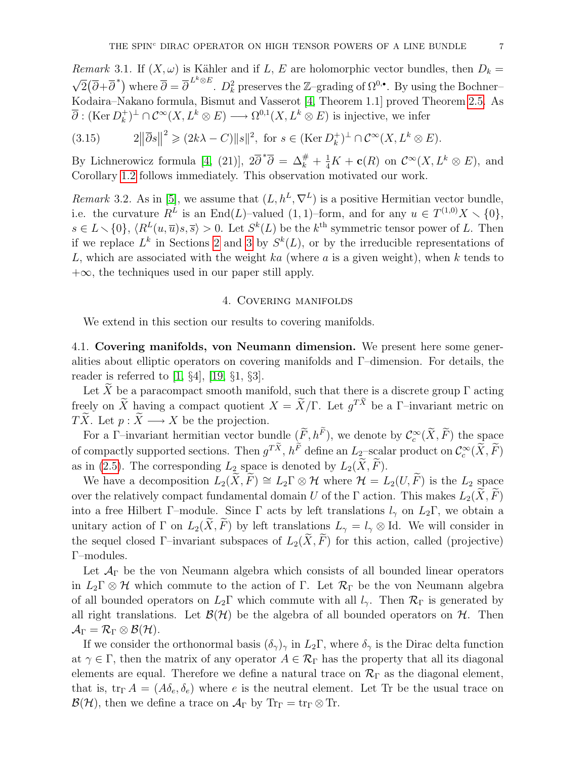*Remark* 3.1. If  $(X, \omega)$  is Kähler and if L, E are holomorphic vector bundles, then  $D_k =$ √  $\overline{2}(\overline{\partial}+\overline{\partial}^*)$  where  $\overline{\partial}=\overline{\partial}^{L^k\otimes E}$ .  $D_k^2$  preserves the Z-grading of  $\Omega^{0,\bullet}$ . By using the Bochner– Kodaira–Nakano formula, Bismut and Vasserot [\[4,](#page-9-9) Theorem 1.1] proved Theorem [2.5.](#page-4-0) As  $\overline{\partial}$  : (Ker  $D_k^+$  $(k)$ <sup>+</sup>  $\cap \mathcal{C}^{\infty}(X, L^k \otimes E) \longrightarrow \Omega^{0,1}(X, L^k \otimes E)$  is injective, we infer

(3.15) 
$$
2\|\overline{\partial}s\|^2 \geq (2k\lambda - C)\|s\|^2, \text{ for } s \in (\text{Ker } D_k^+)^\perp \cap \mathcal{C}^\infty(X, L^k \otimes E).
$$

By Lichnerowicz formula [\[4,](#page-9-9) (21)],  $2\overline{\partial}^*\overline{\partial} = \Delta_k^{\#} + \frac{1}{4}K + \mathbf{c}(R)$  on  $\mathcal{C}^{\infty}(X, L^k \otimes E)$ , and Corollary [1.2](#page-0-1) follows immediately. This observation motivated our work.

*Remark* 3.2. As in [\[5\]](#page-9-10), we assume that  $(L, h^L, \nabla^L)$  is a positive Hermitian vector bundle, i.e. the curvature  $R^L$  is an End(L)–valued (1, 1)–form, and for any  $u \in T^{(1,0)}X \setminus \{0\},$  $s \in L \setminus \{0\}, \langle R^L(u,\overline{u})s,\overline{s}\rangle > 0.$  Let  $S^k(L)$  be the  $k^{\text{th}}$  symmetric tensor power of L. Then if we replace  $L^k$  in Sections [2](#page-1-0) and [3](#page-4-1) by  $S^k(L)$ , or by the irreducible representations of L, which are associated with the weight ka (where  $a$  is a given weight), when  $k$  tends to  $+\infty$ , the techniques used in our paper still apply.

## 4. Covering manifolds

<span id="page-6-0"></span>We extend in this section our results to covering manifolds.

4.1. Covering manifolds, von Neumann dimension. We present here some generalities about elliptic operators on covering manifolds and Γ–dimension. For details, the reader is referred to [\[1,](#page-9-11) §4], [\[19,](#page-10-7) §1, §3].

Let  $\widetilde{X}$  be a paracompact smooth manifold, such that there is a discrete group  $\Gamma$  acting freely on X having a compact quotient  $X = \tilde{X}/\Gamma$ . Let  $g^{TX}$  be a  $\Gamma$ -invariant metric on  $T\widetilde{X}$ . Let  $p : \widetilde{X} \longrightarrow X$  be the projection.

For a Γ-invariant hermitian vector bundle  $(\tilde{F}, h^F)$ , we denote by  $\mathcal{C}_c^{\infty}(\tilde{X}, \tilde{F})$  the space of compactly supported sections. Then  $g^{TX}$ ,  $h^F$  define an  $L_2$ -scalar product on  $\mathcal{C}_c^{\infty}(\tilde{X}, \tilde{F})$ as in [\(2.5\)](#page-2-1). The corresponding  $L_2$  space is denoted by  $L_2(\widetilde{X}, \widetilde{F})$ .

We have a decomposition  $L_2(\widetilde{X}, \widetilde{F}) \cong L_2\Gamma \otimes \mathcal{H}$  where  $\mathcal{H} = L_2(U, \widetilde{F})$  is the  $L_2$  space over the relatively compact fundamental domain U of the Γ action. This makes  $L_2(X, \overline{F})$ into a free Hilbert Γ–module. Since Γ acts by left translations  $l_{\gamma}$  on  $L_2\Gamma$ , we obtain a unitary action of Γ on  $L_2(\tilde{X}, \tilde{F})$  by left translations  $L_{\gamma} = l_{\gamma} \otimes \text{Id}$ . We will consider in the sequel closed Γ–invariant subspaces of  $L_2(\tilde{X}, \tilde{F})$  for this action, called (projective) Γ–modules.

Let  $A_{\Gamma}$  be the von Neumann algebra which consists of all bounded linear operators in  $L_2\Gamma \otimes \mathcal{H}$  which commute to the action of  $\Gamma$ . Let  $\mathcal{R}_{\Gamma}$  be the von Neumann algebra of all bounded operators on  $L_2\Gamma$  which commute with all  $l_{\gamma}$ . Then  $\mathcal{R}_{\Gamma}$  is generated by all right translations. Let  $\mathcal{B}(\mathcal{H})$  be the algebra of all bounded operators on  $\mathcal{H}$ . Then  $\mathcal{A}_{\Gamma} = \mathcal{R}_{\Gamma} \otimes \mathcal{B}(\mathcal{H}).$ 

If we consider the orthonormal basis  $(\delta_{\gamma})_{\gamma}$  in  $L_2\Gamma$ , where  $\delta_{\gamma}$  is the Dirac delta function at  $\gamma \in \Gamma$ , then the matrix of any operator  $A \in \mathcal{R}_{\Gamma}$  has the property that all its diagonal elements are equal. Therefore we define a natural trace on  $\mathcal{R}_{\Gamma}$  as the diagonal element, that is,  $\text{tr}_{\Gamma} A = (A \delta_e, \delta_e)$  where e is the neutral element. Let Tr be the usual trace on  $\mathcal{B}(\mathcal{H})$ , then we define a trace on  $\mathcal{A}_{\Gamma}$  by  $\text{Tr}_{\Gamma} = \text{tr}_{\Gamma} \otimes \text{Tr}$ .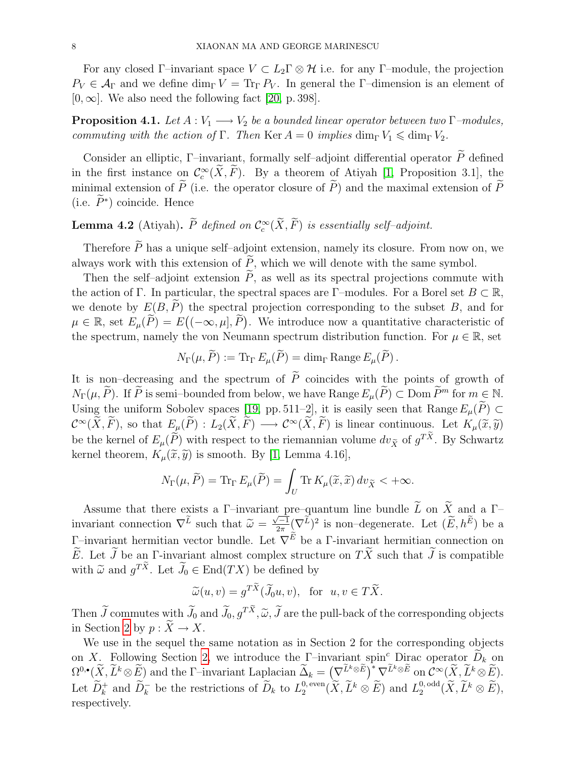For any closed Γ–invariant space  $V \subset L_2 \Gamma \otimes \mathcal{H}$  i.e. for any Γ–module, the projection  $P_V \in \mathcal{A}_{\Gamma}$  and we define  $\dim_{\Gamma} V = \text{Tr}_{\Gamma} P_V$ . In general the Γ-dimension is an element of  $[0, \infty]$ . We also need the following fact [\[20,](#page-10-8) p. 398].

<span id="page-7-1"></span>**Proposition 4.1.** Let  $A: V_1 \longrightarrow V_2$  be a bounded linear operator between two  $\Gamma$ -modules, commuting with the action of Γ. Then Ker  $A = 0$  implies  $\dim_{\Gamma} V_1 \leq \dim_{\Gamma} V_2$ .

Consider an elliptic, Γ–invariant, formally self–adjoint differential operator  $\widetilde{P}$  defined in the first instance on  $\mathcal{C}^{\infty}_c(\tilde{X}, \tilde{F})$ . By a theorem of Atiyah [\[1,](#page-9-11) Proposition 3.1], the minimal extension of  $\widetilde{P}$  (i.e. the operator closure of  $\widetilde{P}$ ) and the maximal extension of  $\widetilde{P}$ (i.e.  $\tilde{P}^*$ ) coincide. Hence

# <span id="page-7-0"></span>**Lemma 4.2** (Atiyah).  $\tilde{P}$  defined on  $\mathcal{C}_c^{\infty}(\tilde{X}, \tilde{F})$  is essentially self-adjoint.

Therefore  $\widetilde{P}$  has a unique self–adjoint extension, namely its closure. From now on, we always work with this extension of  $\widetilde{P}$ , which we will denote with the same symbol.

Then the self-adjoint extension  $\tilde{P}$ , as well as its spectral projections commute with the action of Γ. In particular, the spectral spaces are Γ–modules. For a Borel set  $B \subset \mathbb{R}$ , we denote by  $E(B, \tilde{P})$  the spectral projection corresponding to the subset B, and for  $\mu \in \mathbb{R}$ , set  $E_{\mu}(\tilde{P}) = E((-\infty, \mu], \tilde{P})$ . We introduce now a quantitative characteristic of the spectrum, namely the von Neumann spectrum distribution function. For  $\mu \in \mathbb{R}$ , set

$$
N_{\Gamma}(\mu, \widetilde{P}) := \text{Tr}_{\Gamma} E_{\mu}(\widetilde{P}) = \dim_{\Gamma} \text{Range } E_{\mu}(\widetilde{P}) .
$$

It is non–decreasing and the spectrum of  $\widetilde{P}$  coincides with the points of growth of  $N_{\Gamma}(\mu, \widetilde{P})$ . If  $\widetilde{P}$  is semi–bounded from below, we have Range  $E_{\mu}(\widetilde{P}) \subset \text{Dom }\widetilde{P}^m$  for  $m \in \mathbb{N}$ . Using the uniform Sobolev spaces [\[19,](#page-10-7) pp. 511–2], it is easily seen that Range  $E_{\mu}(\tilde{P}) \subset$  $\mathcal{C}^{\infty}(\tilde{X}, \tilde{F})$ , so that  $E_{\mu}(\tilde{P}) : L_2(\tilde{X}, \tilde{F}) \longrightarrow \mathcal{C}^{\infty}(\tilde{X}, \tilde{F})$  is linear continuous. Let  $K_{\mu}(\tilde{x}, \tilde{y})$ be the kernel of  $E_{\mu}(\tilde{P})$  with respect to the riemannian volume  $dv_{\tilde{X}}$  of  $g^{TX}$ . By Schwartz kernel theorem,  $K_{\mu}(\tilde{x}, \tilde{y})$  is smooth. By [\[1,](#page-9-11) Lemma 4.16],

$$
N_{\Gamma}(\mu, \widetilde{P}) = \text{Tr}_{\Gamma} E_{\mu}(\widetilde{P}) = \int_{U} \text{Tr} K_{\mu}(\widetilde{x}, \widetilde{x}) dv_{\widetilde{X}} < +\infty.
$$

Assume that there exists a Γ-invariant pre–quantum line bundle  $\widetilde{L}$  on  $\widetilde{X}$  and a Γinvariant connection  $\nabla^L$  such that  $\widetilde{\omega} =$  $\frac{10}{\sqrt{-1}}$  $\frac{\sqrt{-1}}{2\pi} (\nabla^L)^2$  is non-degenerate. Let  $(\tilde{E}, h^E)$  be a  $\Gamma$ -invariant hermitian vector bundle. Let  $\nabla^E$  be a  $\Gamma$ -invariant hermitian connection on  $\widetilde{E}$ . Let  $\widetilde{J}$  be an Γ-invariant almost complex structure on  $T\widetilde{X}$  such that  $\widetilde{J}$  is compatible with  $\tilde{\omega}$  and  $g^{TX}$ . Let  $\tilde{J}_0 \in \text{End}(TX)$  be defined by

$$
\widetilde{\omega}(u,v) = g^{TX}(\widetilde{J}_0u,v), \text{ for } u,v \in T\widetilde{X}.
$$

Then  $\tilde{J}$  commutes with  $\tilde{J}_0$  and  $\tilde{J}_0$ ,  $g^{TX}, \tilde{\omega}, \tilde{J}$  are the pull-back of the corresponding objects in Section 2 by set  $\tilde{X} \to Y$ in Section [2](#page-1-0) by  $p : \widetilde{X} \to X$ .

We use in the sequel the same notation as in Section 2 for the corresponding objects on X. Following Section [2,](#page-1-0) we introduce the  $\Gamma$ -invariant spin<sup>c</sup> Dirac operator  $D_k$  on  $\Omega^{0,\bullet}(\widetilde{X},\widetilde{L}^k\otimes \widetilde{E})$  and the  $\Gamma$ -invariant Laplacian  $\widetilde{\Delta}_k = \left(\nabla^{\widetilde{L}^k\otimes \widetilde{E}}\right)^*\nabla^{\widetilde{L}^k\otimes \widetilde{E}}$  on  $\widetilde{\mathcal{C}}^{\infty}(\widetilde{X},\widetilde{L}^k\otimes \widetilde{E}).$ Let  $\widetilde{D}_k^+$  and  $\widetilde{D}_k^-$  be the restrictions of  $\widetilde{D}_k$  to  $L_2^{0,\text{even}}$  $L_2^{0, \text{even}}(\widetilde{X}, \widetilde{L}^k \otimes \widetilde{E})$  and  $L_2^{0, \text{odd}}$  $2^{0, \text{odd}} (X, L^k \otimes E),$ respectively.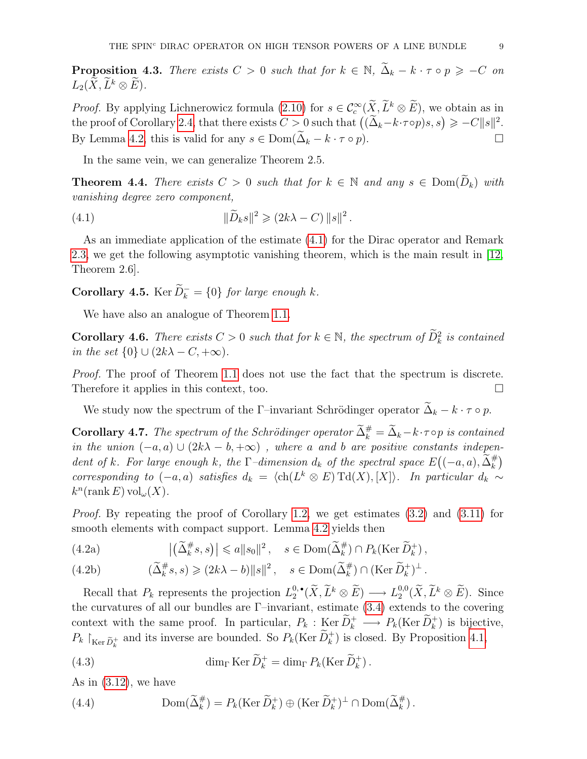**Proposition 4.3.** There exists  $C > 0$  such that for  $k \in \mathbb{N}$ ,  $\tilde{\Delta}_k - k \cdot \tau \circ p \geq -C$  on  $L_2(X, \widetilde{L}^k \otimes \widetilde{E}).$ 

*Proof.* By applying Lichnerowicz formula  $(2.10)$  for  $s \in C_c^{\infty}(\tilde{X}, L^k \otimes E)$ , we obtain as in the proof of Corollary [2.4,](#page-3-4) that there exists  $C > 0$  such that  $((\widetilde{\Delta}_k - k \cdot \tau \circ p)s, s) \geqslant -C||s||^2$ . By Lemma [4.2,](#page-7-0) this is valid for any  $s \in \text{Dom}(\widetilde{\Delta}_k - k \cdot \tau \circ p)$ .

<span id="page-8-0"></span>In the same vein, we can generalize Theorem 2.5.

**Theorem 4.4.** There exists  $C > 0$  such that for  $k \in \mathbb{N}$  and any  $s \in \text{Dom}(\widetilde{D}_k)$  with vanishing degree zero component,

(4.1) 
$$
\|\widetilde{D}_k s\|^2 \geq (2k\lambda - C) \|s\|^2.
$$

As an immediate application of the estimate [\(4.1\)](#page-8-0) for the Dirac operator and Remark [2.3,](#page-3-5) we get the following asymptotic vanishing theorem, which is the main result in [\[12,](#page-9-3) Theorem 2.6].

<span id="page-8-4"></span>**Corollary 4.5.** Ker  $\widetilde{D}_k^-$  = {0} for large enough k.

We have also an analogue of Theorem [1.1.](#page-0-3)

**Corollary 4.6.** There exists  $C > 0$  such that for  $k \in \mathbb{N}$ , the spectrum of  $\tilde{D}_k^2$  is contained in the set  $\{0\} \cup (2k\lambda - C, +\infty)$ .

Proof. The proof of Theorem [1.1](#page-0-3) does not use the fact that the spectrum is discrete. Therefore it applies in this context, too.

We study now the spectrum of the Γ–invariant Schrödinger operator  $\widetilde{\Delta}_k - k \cdot \tau \circ p$ .

**Corollary 4.7.** The spectrum of the Schrödinger operator  $\tilde{\Delta}_k^{\#} = \tilde{\Delta}_k - k \cdot \tau$  op is contained in the union  $(-a, a) \cup (2k\lambda - b, +\infty)$ , where a and b are positive constants independent of k. For large enough k, the  $\Gamma$ -dimension  $d_k$  of the spectral space  $E((-a, a), \tilde{\Delta}_k^{\#})$ corresponding to  $(-a, a)$  satisfies  $d_k = \langle ch(L^k \otimes E) \operatorname{Td}(X), [X] \rangle$ . In particular  $d_k \sim$  $k^n$ (rank E) vol<sub> $\omega$ </sub>(X).

Proof. By repeating the proof of Corollary [1.2,](#page-0-1) we get estimates [\(3.2\)](#page-4-8) and [\(3.11\)](#page-5-5) for smooth elements with compact support. Lemma [4.2](#page-7-0) yields then

<span id="page-8-1"></span>(4.2a) 
$$
\left| \left( \widetilde{\Delta}_k^{\#} s, s \right) \right| \leq a \| s_0 \|^2, \quad s \in \text{Dom}(\widetilde{\Delta}_k^{\#}) \cap P_k(\text{Ker }\widetilde{D}_k^+),
$$

<span id="page-8-3"></span>(4.2b) 
$$
(\widetilde{\Delta}_k^{\#} s, s) \geq (2k\lambda - b) \|s\|^2, \quad s \in \text{Dom}(\widetilde{\Delta}_k^{\#}) \cap (\text{Ker }\widetilde{D}_k^+)^\perp.
$$

Recall that  $P_k$  represents the projection  $L_2^{0, \bullet}$  $L_2^{0,\bullet}(\widetilde X,\widetilde L^k\otimes \widetilde E)\longrightarrow L_2^{0,0}$  $_2^{0,0}(\tilde{X}, \tilde{L}^k \otimes \tilde{E})$ . Since the curvatures of all our bundles are  $\Gamma$ –invariant, estimate [\(3.4\)](#page-4-6) extends to the covering context with the same proof. In particular,  $P_k : \text{Ker } \widetilde{D}_k^+ \longrightarrow P_k(\text{Ker } \widetilde{D}_k^+)$  is bijective,  $P_k \upharpoonright_{\text{Ker } \tilde{D}_k^+}$  and its inverse are bounded. So  $P_k(\text{Ker } \tilde{D}_k^+)$  is closed. By Proposition [4.1,](#page-7-1)

(4.3) 
$$
\dim_{\Gamma} \operatorname{Ker} \widetilde{D}_k^+ = \dim_{\Gamma} P_k(\operatorname{Ker} \widetilde{D}_k^+).
$$

<span id="page-8-2"></span>As in  $(3.12)$ , we have

(4.4) 
$$
\text{Dom}(\widetilde{\Delta}_k^{\#}) = P_k(\text{Ker }\widetilde{D}_k^+) \oplus (\text{Ker }\widetilde{D}_k^+)^{\perp} \cap \text{Dom}(\widetilde{\Delta}_k^{\#}).
$$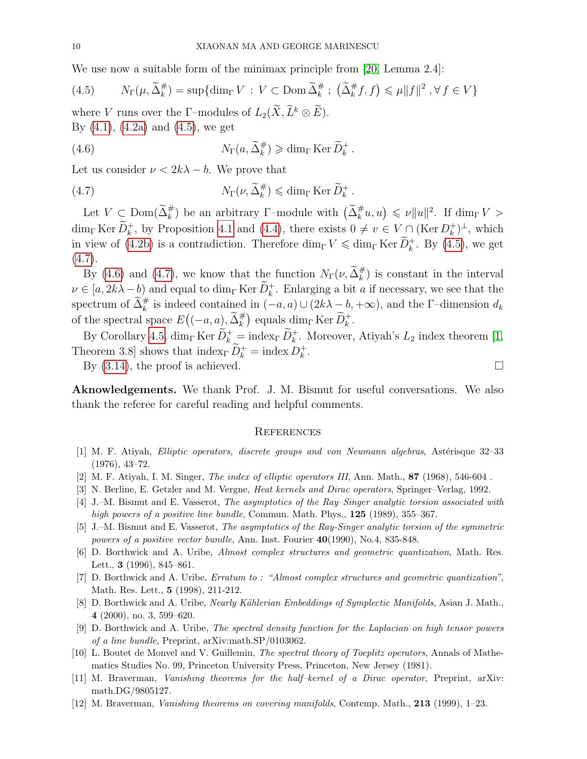We use now a suitable form of the minimax principle from [\[20,](#page-10-8) Lemma 2.4]:

<span id="page-9-12"></span>(4.5) 
$$
N_{\Gamma}(\mu, \widetilde{\Delta}_{k}^{\#}) = \sup \{ \dim_{\Gamma} V : V \subset \text{Dom } \widetilde{\Delta}_{k}^{\#} ; (\widetilde{\Delta}_{k}^{\#} f, f) \leqslant \mu \| f \|^{2}, \forall f \in V \}
$$

where V runs over the Γ–modules of  $L_2(\widetilde{X}, \widetilde{L}^k \otimes \widetilde{E})$ . By  $(4.1)$ ,  $(4.2a)$  and  $(4.5)$ , we get

<span id="page-9-14"></span>(4.6) 
$$
N_{\Gamma}(a, \widetilde{\Delta}_{k}^{\#}) \geq \dim_{\Gamma} \operatorname{Ker} \widetilde{D}_{k}^{+}.
$$

Let us consider  $\nu < 2k\lambda - b$ . We prove that

<span id="page-9-13"></span>(4.7) 
$$
N_{\Gamma}(\nu, \widetilde{\Delta}_{k}^{\#}) \leq \dim_{\Gamma} \operatorname{Ker} \widetilde{D}_{k}^{+}.
$$

Let  $V \subset \text{Dom}(\tilde{\Delta}_k^{\#})$  be an arbitrary  $\Gamma$ -module with  $(\tilde{\Delta}_k^{\#} u, u) \leq \nu ||u||^2$ . If  $\dim_{\Gamma} V >$  $\dim_{\Gamma} \text{Ker } \widetilde{D}_k^+$ , by Proposition [4.1](#page-7-1) and [\(4.4\)](#page-8-2), there exists  $0 \neq v \in V \cap (\text{Ker } D_k^+$  $_{k}^{+})^{\perp}$ , which in view of [\(4.2b\)](#page-8-3) is a contradiction. Therefore  $\dim_{\Gamma} V \leqslant \dim_{\Gamma} \text{Ker } \widetilde{D}_k^+$ . By [\(4.5\)](#page-9-12), we get  $(4.7).$  $(4.7).$ 

By [\(4.6\)](#page-9-14) and [\(4.7\)](#page-9-13), we know that the function  $N_{\Gamma}(\nu, \widetilde{\Delta}_{k}^{\#})$  is constant in the interval  $\nu \in [a, 2k\lambda - b]$  and equal to dim<sub>Γ</sub> Ker  $\widetilde{D}_k^+$ . Enlarging a bit a if necessary, we see that the spectrum of  $\tilde{\Delta}_k^{\#}$  is indeed contained in  $(-a, a) \cup (2k\lambda - b, +\infty)$ , and the  $\Gamma$ -dimension  $d_k$ of the spectral space  $E((-a,a), \tilde{\Delta}_k^{\#})$  equals  $\dim_{\Gamma} \text{Ker } \tilde{D}_k^+$ .

By Corollary [4.5,](#page-8-4)  $\dim_{\Gamma} \text{Ker } \widetilde{D}_k^+ = \text{index}_{\Gamma} \widetilde{D}_k^+$ . Moreover, Atiyah's  $L_2$  index theorem [\[1,](#page-9-11) Theorem 3.8 shows that  $\text{index}_{\Gamma} \widetilde{D}_k^+ = \text{index } D_k^+$  $\frac{k}{k}$ .

By  $(3.14)$ , the proof is achieved.

Aknowledgements. We thank Prof. J. M. Bismut for useful conversations. We also thank the referee for careful reading and helpful comments.

#### **REFERENCES**

- <span id="page-9-11"></span>[1] M. F. Atiyah, *Elliptic operators, discrete groups and von Neumann algebras*, Astérisque 32–33 (1976), 43–72.
- <span id="page-9-8"></span>[2] M. F. Atiyah, I. M. Singer, *The index of elliptic operators III*, Ann. Math., **87** (1968), 546-604.
- <span id="page-9-6"></span>[3] N. Berline, E. Getzler and M. Vergne, Heat kernels and Dirac operators, Springer–Verlag, 1992.
- <span id="page-9-9"></span>[4] J.–M. Bismut and E. Vasserot, The asymptotics of the Ray–Singer analytic torsion associated with high powers of a positive line bundle, Commun. Math. Phys., 125 (1989), 355–367.
- <span id="page-9-10"></span>[5] J.–M. Bismut and E. Vasserot, The asymptotics of the Ray-Singer analytic torsion of the symmetric powers of a positive vector bundle, Ann. Inst. Fourier  $40(1990)$ , No.4, 835-848.
- <span id="page-9-1"></span>[6] D. Borthwick and A. Uribe, Almost complex structures and geometric quantization, Math. Res. Lett., 3 (1996), 845–861.
- <span id="page-9-7"></span>[7] D. Borthwick and A. Uribe, Erratum to : "Almost complex structures and geometric quantization", Math. Res. Lett., 5 (1998), 211-212.
- <span id="page-9-4"></span>[8] D. Borthwick and A. Uribe, *Nearly Kählerian Embeddings of Symplectic Manifolds*, Asian J. Math., 4 (2000), no. 3, 599–620.
- <span id="page-9-5"></span>[9] D. Borthwick and A. Uribe, The spectral density function for the Laplacian on high tensor powers of a line bundle, Preprint, arXiv:math.SP/0103062.
- <span id="page-9-0"></span>[10] L. Boutet de Monvel and V. Guillemin, The spectral theory of Toeplitz operators, Annals of Mathematics Studies No. 99, Princeton University Press, Princeton, New Jersey (1981).
- <span id="page-9-2"></span>[11] M. Braverman, Vanishing theorems for the half–kernel of a Dirac operator, Preprint, arXiv: math.DG/9805127.
- <span id="page-9-3"></span>[12] M. Braverman, Vanishing theorems on covering manifolds, Contemp. Math., 213 (1999), 1–23.